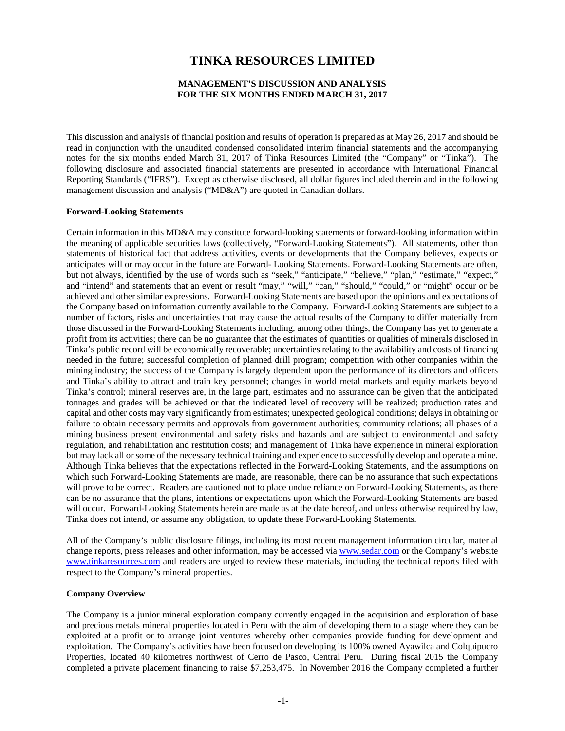# **TINKA RESOURCES LIMITED**

## **MANAGEMENT'S DISCUSSION AND ANALYSIS FOR THE SIX MONTHS ENDED MARCH 31, 2017**

This discussion and analysis of financial position and results of operation is prepared as at May 26, 2017 and should be read in conjunction with the unaudited condensed consolidated interim financial statements and the accompanying notes for the six months ended March 31, 2017 of Tinka Resources Limited (the "Company" or "Tinka"). The following disclosure and associated financial statements are presented in accordance with International Financial Reporting Standards ("IFRS"). Except as otherwise disclosed, all dollar figures included therein and in the following management discussion and analysis ("MD&A") are quoted in Canadian dollars.

#### **Forward-Looking Statements**

Certain information in this MD&A may constitute forward-looking statements or forward-looking information within the meaning of applicable securities laws (collectively, "Forward-Looking Statements"). All statements, other than statements of historical fact that address activities, events or developments that the Company believes, expects or anticipates will or may occur in the future are Forward- Looking Statements. Forward-Looking Statements are often, but not always, identified by the use of words such as "seek," "anticipate," "believe," "plan," "estimate," "expect," and "intend" and statements that an event or result "may," "will," "can," "should," "could," or "might" occur or be achieved and other similar expressions. Forward-Looking Statements are based upon the opinions and expectations of the Company based on information currently available to the Company. Forward-Looking Statements are subject to a number of factors, risks and uncertainties that may cause the actual results of the Company to differ materially from those discussed in the Forward-Looking Statements including, among other things, the Company has yet to generate a profit from its activities; there can be no guarantee that the estimates of quantities or qualities of minerals disclosed in Tinka's public record will be economically recoverable; uncertainties relating to the availability and costs of financing needed in the future; successful completion of planned drill program; competition with other companies within the mining industry; the success of the Company is largely dependent upon the performance of its directors and officers and Tinka's ability to attract and train key personnel; changes in world metal markets and equity markets beyond Tinka's control; mineral reserves are, in the large part, estimates and no assurance can be given that the anticipated tonnages and grades will be achieved or that the indicated level of recovery will be realized; production rates and capital and other costs may vary significantly from estimates; unexpected geological conditions; delays in obtaining or failure to obtain necessary permits and approvals from government authorities; community relations; all phases of a mining business present environmental and safety risks and hazards and are subject to environmental and safety regulation, and rehabilitation and restitution costs; and management of Tinka have experience in mineral exploration but may lack all or some of the necessary technical training and experience to successfully develop and operate a mine. Although Tinka believes that the expectations reflected in the Forward-Looking Statements, and the assumptions on which such Forward-Looking Statements are made, are reasonable, there can be no assurance that such expectations will prove to be correct. Readers are cautioned not to place undue reliance on Forward-Looking Statements, as there can be no assurance that the plans, intentions or expectations upon which the Forward-Looking Statements are based will occur. Forward-Looking Statements herein are made as at the date hereof, and unless otherwise required by law, Tinka does not intend, or assume any obligation, to update these Forward-Looking Statements.

All of the Company's public disclosure filings, including its most recent management information circular, material change reports, press releases and other information, may be accessed via [www.sedar.com](http://www.sedar.com/) or the Company's website [www.tinkaresources.com](http://www.tinkaresources.com/) and readers are urged to review these materials, including the technical reports filed with respect to the Company's mineral properties.

#### **Company Overview**

The Company is a junior mineral exploration company currently engaged in the acquisition and exploration of base and precious metals mineral properties located in Peru with the aim of developing them to a stage where they can be exploited at a profit or to arrange joint ventures whereby other companies provide funding for development and exploitation. The Company's activities have been focused on developing its 100% owned Ayawilca and Colquipucro Properties, located 40 kilometres northwest of Cerro de Pasco, Central Peru. During fiscal 2015 the Company completed a private placement financing to raise \$7,253,475. In November 2016 the Company completed a further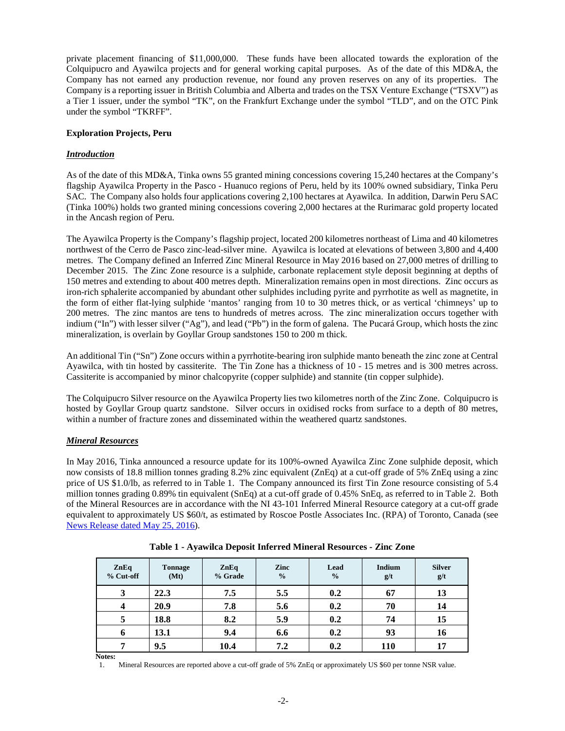private placement financing of \$11,000,000. These funds have been allocated towards the exploration of the Colquipucro and Ayawilca projects and for general working capital purposes. As of the date of this MD&A, the Company has not earned any production revenue, nor found any proven reserves on any of its properties. The Company is a reporting issuer in British Columbia and Alberta and trades on the TSX Venture Exchange ("TSXV") as a Tier 1 issuer, under the symbol "TK", on the Frankfurt Exchange under the symbol "TLD", and on the OTC Pink under the symbol "TKRFF".

# **Exploration Projects, Peru**

# *Introduction*

As of the date of this MD&A, Tinka owns 55 granted mining concessions covering 15,240 hectares at the Company's flagship Ayawilca Property in the Pasco - Huanuco regions of Peru, held by its 100% owned subsidiary, Tinka Peru SAC. The Company also holds four applications covering 2,100 hectares at Ayawilca. In addition, Darwin Peru SAC (Tinka 100%) holds two granted mining concessions covering 2,000 hectares at the Rurimarac gold property located in the Ancash region of Peru.

The Ayawilca Property is the Company's flagship project, located 200 kilometres northeast of Lima and 40 kilometres northwest of the Cerro de Pasco zinc-lead-silver mine. Ayawilca is located at elevations of between 3,800 and 4,400 metres. The Company defined an Inferred Zinc Mineral Resource in May 2016 based on 27,000 metres of drilling to December 2015. The Zinc Zone resource is a sulphide, carbonate replacement style deposit beginning at depths of 150 metres and extending to about 400 metres depth. Mineralization remains open in most directions. Zinc occurs as iron-rich sphalerite accompanied by abundant other sulphides including pyrite and pyrrhotite as well as magnetite, in the form of either flat-lying sulphide 'mantos' ranging from 10 to 30 metres thick, or as vertical 'chimneys' up to 200 metres. The zinc mantos are tens to hundreds of metres across. The zinc mineralization occurs together with indium ("In") with lesser silver ("Ag"), and lead ("Pb") in the form of galena. The Pucará Group, which hosts the zinc mineralization, is overlain by Goyllar Group sandstones 150 to 200 m thick.

An additional Tin ("Sn") Zone occurs within a pyrrhotite-bearing iron sulphide manto beneath the zinc zone at Central Ayawilca, with tin hosted by cassiterite. The Tin Zone has a thickness of 10 - 15 metres and is 300 metres across. Cassiterite is accompanied by minor chalcopyrite (copper sulphide) and stannite (tin copper sulphide).

The Colquipucro Silver resource on the Ayawilca Property lies two kilometres north of the Zinc Zone. Colquipucro is hosted by Goyllar Group quartz sandstone. Silver occurs in oxidised rocks from surface to a depth of 80 metres, within a number of fracture zones and disseminated within the weathered quartz sandstones.

# *Mineral Resources*

In May 2016, Tinka announced a resource update for its 100%-owned Ayawilca Zinc Zone sulphide deposit, which now consists of 18.8 million tonnes grading 8.2% zinc equivalent (ZnEq) at a cut-off grade of 5% ZnEq using a zinc price of US \$1.0/lb, as referred to in Table 1. The Company announced its first Tin Zone resource consisting of 5.4 million tonnes grading 0.89% tin equivalent (SnEq) at a cut-off grade of 0.45% SnEq, as referred to in Table 2. Both of the Mineral Resources are in accordance with the NI 43-101 Inferred Mineral Resource category at a cut-off grade equivalent to approximately US \$60/t, as estimated by Roscoe Postle Associates Inc. (RPA) of Toronto, Canada (see [News Release dated May 25, 2016\)](https://www.tinkaresources.com/news/tinka-increases-inferred-mineral-resources-at-ayawilca-zinc-resource-now-18-8-million-tonnes-at-8-2-zinc-eq-initial-tin-resource-5-4-million-tonnes-at-0-89-tin-eq).

| $\mathbf{ZnEq}$<br>% Cut-off | <b>Tonnage</b><br>(Mt) | ZnEq<br>% Grade | Zinc<br>$\frac{0}{0}$ | Lead<br>$\frac{0}{0}$ | <b>Indium</b><br>g/t | <b>Silver</b><br>g/t |
|------------------------------|------------------------|-----------------|-----------------------|-----------------------|----------------------|----------------------|
| 3                            | 22.3                   | 7.5             | 5.5                   | 0.2                   | 67                   | 13                   |
| 4                            | 20.9                   | 7.8             | 5.6                   | 0.2                   | 70                   | 14                   |
| 5                            | 18.8                   | 8.2             | 5.9                   | 0.2                   | 74                   | 15                   |
| 6                            | 13.1                   | 9.4             | 6.6                   | 0.2                   | 93                   | 16                   |
| ៗ                            | 9.5                    | 10.4            | 7.2                   | 0.2                   | 110                  | 17                   |

| Table 1 - Ayawilca Deposit Inferred Mineral Resources - Zinc Zone |  |
|-------------------------------------------------------------------|--|
|-------------------------------------------------------------------|--|

**Notes:**

1. Mineral Resources are reported above a cut-off grade of 5% ZnEq or approximately US \$60 per tonne NSR value.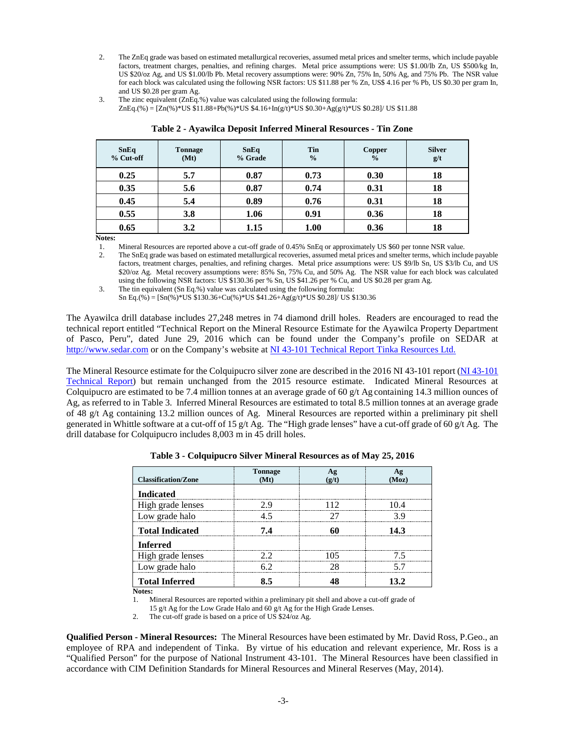- 2. The ZnEq grade was based on estimated metallurgical recoveries, assumed metal prices and smelter terms, which include payable factors, treatment charges, penalties, and refining charges. Metal price assumptions were: US \$1.00/lb Zn, US \$500/kg In, US \$20/oz Ag, and US \$1.00/lb Pb. Metal recovery assumptions were: 90% Zn, 75% In, 50% Ag, and 75% Pb. The NSR value for each block was calculated using the following NSR factors: US \$11.88 per % Zn, US\$ 4.16 per % Pb, US \$0.30 per gram In, and US \$0.28 per gram Ag.
- 3. The zinc equivalent (ZnEq.%) value was calculated using the following formula: ZnEq.(%) = [Zn(%)\*US \$11.88+Pb(%)\*US \$4.16+In(g/t)\*US \$0.30+Ag(g/t)\*US \$0.28]/ US \$11.88

| <b>SnEq</b><br>% Cut-off | <b>Tonnage</b><br>(Mt) | <b>SnEq</b><br>% Grade | <b>Tin</b><br>$\frac{0}{0}$ | Copper<br>$\frac{0}{0}$ | <b>Silver</b><br>g/t |
|--------------------------|------------------------|------------------------|-----------------------------|-------------------------|----------------------|
| 0.25                     | 5.7                    | 0.87                   | 0.73                        | 0.30                    | 18                   |
| 0.35                     | 5.6                    | 0.87                   | 0.74                        | 0.31                    | 18                   |
| 0.45                     | 5.4                    | 0.89                   | 0.76                        | 0.31                    | 18                   |
| 0.55                     | 3.8                    | 1.06                   | 0.91                        | 0.36                    | 18                   |
| 0.65                     | 3.2                    | 1.15                   | 1.00                        | 0.36                    | 18                   |

|  |  | Table 2 - Ayawilca Deposit Inferred Mineral Resources - Tin Zone |  |
|--|--|------------------------------------------------------------------|--|
|  |  |                                                                  |  |

**Notes:**

1. Mineral Resources are reported above a cut-off grade of 0.45% SnEq or approximately US \$60 per tonne NSR value.

2. The SnEq grade was based on estimated metallurgical recoveries, assumed metal prices and smelter terms, which include payable factors, treatment charges, penalties, and refining charges. Metal price assumptions were: US \$9/lb Sn, US \$3/lb Cu, and US \$20/oz Ag. Metal recovery assumptions were: 85% Sn, 75% Cu, and 50% Ag. The NSR value for each block was calculated using the following NSR factors: US \$130.36 per % Sn, US \$41.26 per % Cu, and US \$0.28 per gram Ag.

3. The tin equivalent (Sn Eq.%) value was calculated using the following formula: Sn Eq.(%) =  $[Sn(\%)*US $130.36+Cu(\%)*US $41.26+Ag(g/t)*US $0.28]/US $130.36$ 

The Ayawilca drill database includes 27,248 metres in 74 diamond drill holes. Readers are encouraged to read the technical report entitled "Technical Report on the Mineral Resource Estimate for the Ayawilca Property Department of Pasco, Peru", dated June 29, 2016 which can be found under the Company's profile on SEDAR at [http://www.sedar.com](http://www.sedar.com/) or on the Company's website at [NI 43-101 Technical Report Tinka Resources Ltd.](https://www.tinkaresources.com/projects/technical-reports)

The Mineral Resource estimate for the Colquipucro silver zone are described in the 2016 NI 43-101 report (NI 43-101 [Technical Report\)](https://www.tinkaresources.com/projects/technical-reports) but remain unchanged from the 2015 resource estimate. Indicated Mineral Resources at Colquipucro are estimated to be 7.4 million tonnes at an average grade of 60  $g/t$  Ag containing 14.3 million ounces of Ag, as referred to in Table 3. Inferred Mineral Resources are estimated to total 8.5 million tonnes at an average grade of 48 g/t Ag containing 13.2 million ounces of Ag. Mineral Resources are reported within a preliminary pit shell generated in Whittle software at a cut-off of 15 g/t Ag. The "High grade lenses" have a cut-off grade of 60 g/t Ag. The drill database for Colquipucro includes 8,003 m in 45 drill holes.

| <b>Classification/Zone</b> | <b>Tonnage</b><br>(Mt) | Аσ<br>$\left( \mathbf{g/t}\right)$ | Αg<br>(Moz) |
|----------------------------|------------------------|------------------------------------|-------------|
| <b>Indicated</b>           |                        |                                    |             |
| High grade lenses          | 29                     | 112                                | 104         |
| Low grade halo             | 45                     |                                    | 39          |
| <b>Total Indicated</b>     | 74                     |                                    | 14.3        |
| <b>Inferred</b>            |                        |                                    |             |
| High grade lenses          | フ フ                    | 105                                | 75          |
| Low grade halo             | 62                     |                                    | 57          |
| <b>Total Inferred</b>      |                        |                                    |             |

| Table 3 - Colquipucro Silver Mineral Resources as of May 25, 2016 |  |  |  |
|-------------------------------------------------------------------|--|--|--|
|                                                                   |  |  |  |

**Notes:**

1. Mineral Resources are reported within a preliminary pit shell and above a cut-off grade of 15 g/t Ag for the Low Grade Halo and 60 g/t Ag for the High Grade Lenses.

2. The cut-off grade is based on a price of US \$24/oz Ag.

**Qualified Person - Mineral Resources:** The Mineral Resources have been estimated by Mr. David Ross, P.Geo., an employee of RPA and independent of Tinka. By virtue of his education and relevant experience, Mr. Ross is a "Qualified Person" for the purpose of National Instrument 43-101. The Mineral Resources have been classified in accordance with CIM Definition Standards for Mineral Resources and Mineral Reserves (May, 2014).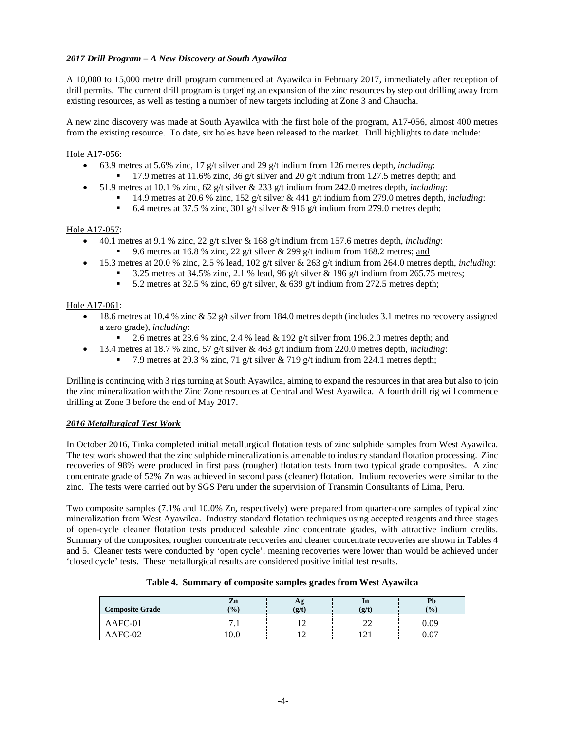# *2017 Drill Program – A New Discovery at South Ayawilca*

A 10,000 to 15,000 metre drill program commenced at Ayawilca in February 2017, immediately after reception of drill permits. The current drill program is targeting an expansion of the zinc resources by step out drilling away from existing resources, as well as testing a number of new targets including at Zone 3 and Chaucha.

A new zinc discovery was made at South Ayawilca with the first hole of the program, A17-056, almost 400 metres from the existing resource. To date, six holes have been released to the market. Drill highlights to date include:

# Hole A17-056:

- 63.9 metres at 5.6% zinc, 17 g/t silver and 29 g/t indium from 126 metres depth, *including*:
	- $17.9$  metres at 11.6% zinc, 36 g/t silver and 20 g/t indium from 127.5 metres depth; and
- 51.9 metres at 10.1 % zinc, 62 g/t silver & 233 g/t indium from 242.0 metres depth, *including*:
	- 14.9 metres at 20.6 % zinc, 152 g/t silver & 441 g/t indium from 279.0 metres depth, *including*:
	- 6.4 metres at 37.5 % zinc, 301 g/t silver & 916 g/t indium from 279.0 metres depth;

#### Hole A17-057:

- 40.1 metres at 9.1 % zinc,  $22 \frac{g}{t}$  silver  $\&$  168  $\frac{g}{t}$  indium from 157.6 metres depth, *including*:
	- 9.6 metres at 16.8 % zinc, 22 g/t silver & 299 g/t indium from 168.2 metres; and
- 15.3 metres at 20.0 % zinc, 2.5 % lead, 102 g/t silver & 263 g/t indium from 264.0 metres depth, *including*:
	- 3.25 metres at 34.5% zinc, 2.1 % lead, 96 g/t silver & 196 g/t indium from 265.75 metres;
	- 5.2 metres at 32.5 % zinc, 69 g/t silver, & 639 g/t indium from 272.5 metres depth;

## Hole A17-061:

- 18.6 metres at 10.4 % zinc & 52 g/t silver from 184.0 metres depth (includes 3.1 metres no recovery assigned a zero grade), *including*:
	- 2.6 metres at 23.6 % zinc, 2.4 % lead & 192 g/t silver from 196.2.0 metres depth; and
- 13.4 metres at 18.7 % zinc, 57 g/t silver & 463 g/t indium from 220.0 metres depth, *including*:
	- 7.9 metres at 29.3 % zinc, 71 g/t silver & 719 g/t indium from 224.1 metres depth;

Drilling is continuing with 3 rigs turning at South Ayawilca, aiming to expand the resources in that area but also to join the zinc mineralization with the Zinc Zone resources at Central and West Ayawilca. A fourth drill rig will commence drilling at Zone 3 before the end of May 2017.

# *2016 Metallurgical Test Work*

In October 2016, Tinka completed initial metallurgical flotation tests of zinc sulphide samples from West Ayawilca. The test work showed that the zinc sulphide mineralization is amenable to industry standard flotation processing. Zinc recoveries of 98% were produced in first pass (rougher) flotation tests from two typical grade composites. A zinc concentrate grade of 52% Zn was achieved in second pass (cleaner) flotation. Indium recoveries were similar to the zinc. The tests were carried out by SGS Peru under the supervision of Transmin Consultants of Lima, Peru.

Two composite samples (7.1% and 10.0% Zn, respectively) were prepared from quarter-core samples of typical zinc mineralization from West Ayawilca. Industry standard flotation techniques using accepted reagents and three stages of open-cycle cleaner flotation tests produced saleable zinc concentrate grades, with attractive indium credits. Summary of the composites, rougher concentrate recoveries and cleaner concentrate recoveries are shown in Tables 4 and 5. Cleaner tests were conducted by 'open cycle', meaning recoveries were lower than would be achieved under 'closed cycle' tests. These metallurgical results are considered positive initial test results.

| <b>Composite Grade</b> |  | <br>w |
|------------------------|--|-------|
|                        |  |       |
|                        |  |       |

### **Table 4. Summary of composite samples grades from West Ayawilca**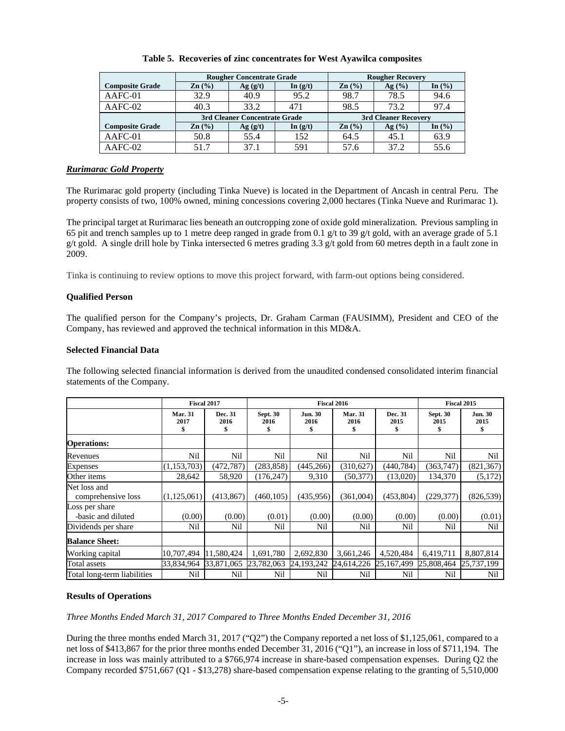|                        |                   | <b>Rougher Concentrate Grade</b> |            |                      | <b>Rougher Recovery</b> |                               |  |
|------------------------|-------------------|----------------------------------|------------|----------------------|-------------------------|-------------------------------|--|
| <b>Composite Grade</b> | $\mathbf{Zn}$ (%) | Ag(g/t)                          | In $(g/t)$ | $\mathbf{Zn}$ (%)    | Ag (%)                  | In $\left(\frac{0}{0}\right)$ |  |
| $AAFC-01$              | 32.9              | 40.9                             | 95.2       | 98.7                 | 78.5                    | 94.6                          |  |
| AAFC-02                | 40.3              | 33.2                             | 471        | 98.5                 | 73.2                    | 97.4                          |  |
|                        |                   | 3rd Cleaner Concentrate Grade    |            | 3rd Cleaner Recovery |                         |                               |  |
| <b>Composite Grade</b> | $\mathbf{Zn}$ (%) | Ag(g/t)                          | In $(g/t)$ | $\mathbf{Zn}$ (%)    | Ag (%)                  | In $\left(\frac{9}{6}\right)$ |  |
| AAFC-01                | 50.8              | 55.4                             | 152        | 64.5                 | 45.1                    | 63.9                          |  |
|                        |                   |                                  |            |                      |                         |                               |  |

# **Table 5. Recoveries of zinc concentrates for West Ayawilca composites**

# *Rurimarac Gold Property*

The Rurimarac gold property (including Tinka Nueve) is located in the Department of Ancash in central Peru. The property consists of two, 100% owned, mining concessions covering 2,000 hectares (Tinka Nueve and Rurimarac 1).

The principal target at Rurimarac lies beneath an outcropping zone of oxide gold mineralization. Previous sampling in 65 pit and trench samples up to 1 metre deep ranged in grade from 0.1 g/t to 39 g/t gold, with an average grade of 5.1 g/t gold. A single drill hole by Tinka intersected 6 metres grading  $3.3$  g/t gold from 60 metres depth in a fault zone in 2009.

Tinka is continuing to review options to move this project forward, with farm-out options being considered.

## **Qualified Person**

The qualified person for the Company's projects, Dr. Graham Carman (FAUSIMM), President and CEO of the Company, has reviewed and approved the technical information in this MD&A.

#### **Selected Financial Data**

The following selected financial information is derived from the unaudited condensed consolidated interim financial statements of the Company.

|                                      | Fiscal 2017                 |                 |                  | Fiscal 2016            |                        |                 |                         | Fiscal 2015            |  |
|--------------------------------------|-----------------------------|-----------------|------------------|------------------------|------------------------|-----------------|-------------------------|------------------------|--|
|                                      | <b>Mar. 31</b><br>2017<br>S | Dec. 31<br>2016 | Sept. 30<br>2016 | <b>Jun. 30</b><br>2016 | <b>Mar. 31</b><br>2016 | Dec. 31<br>2015 | <b>Sept. 30</b><br>2015 | <b>Jun. 30</b><br>2015 |  |
| <b>Operations:</b>                   |                             |                 |                  |                        |                        |                 |                         |                        |  |
| Revenues                             | Nil                         | Nil             | Nil              | Nil                    | Nil                    | Nil             | Nil                     | Nil                    |  |
| <b>Expenses</b>                      | (1, 153, 703)               | (472, 787)      | (283, 858)       | (445, 266)             | (310,627)              | (440, 784)      | (363, 747)              | (821, 367)             |  |
| Other items                          | 28,642                      | 58,920          | (176, 247)       | 9,310                  | (50, 377)              | (13,020)        | 134,370                 | (5,172)                |  |
| Net loss and<br>comprehensive loss   | (1,125,061)                 | (413, 867)      | (460, 105)       | (435, 956)             | (361,004)              | (453.804)       | (229,377)               | (826, 539)             |  |
| Loss per share<br>-basic and diluted | (0.00)                      | (0.00)          | (0.01)           | (0.00)                 | (0.00)                 | (0.00)          | (0.00)                  | (0.01)                 |  |
| Dividends per share                  | Nil                         | Nil             | Nil              | Nil                    | Nil                    | Nil             | Nil                     | Nil                    |  |
| <b>Balance Sheet:</b>                |                             |                 |                  |                        |                        |                 |                         |                        |  |
| Working capital                      | 10,707,494                  | 11,580,424      | 1,691,780        | 2,692,830              | 3,661,246              | 4,520,484       | 6,419,711               | 8,807,814              |  |
| Total assets                         | 33,834,964                  | 33,871,065      | 23,782,063       | 24, 193, 242           | 24,614,226             | 25,167,499      | 25,808,464              | 25,737,199             |  |
| Total long-term liabilities          | Nil                         | Nil             | Nil              | Nil                    | Nil                    | Nil             | Nil                     | Nil                    |  |

# **Results of Operations**

*Three Months Ended March 31, 2017 Compared to Three Months Ended December 31, 2016*

During the three months ended March 31, 2017 ("Q2") the Company reported a net loss of \$1,125,061, compared to a net loss of \$413,867 for the prior three months ended December 31, 2016 ("Q1"), an increase in loss of \$711,194. The increase in loss was mainly attributed to a \$766,974 increase in share-based compensation expenses. During Q2 the Company recorded \$751,667 (Q1 - \$13,278) share-based compensation expense relating to the granting of 5,510,000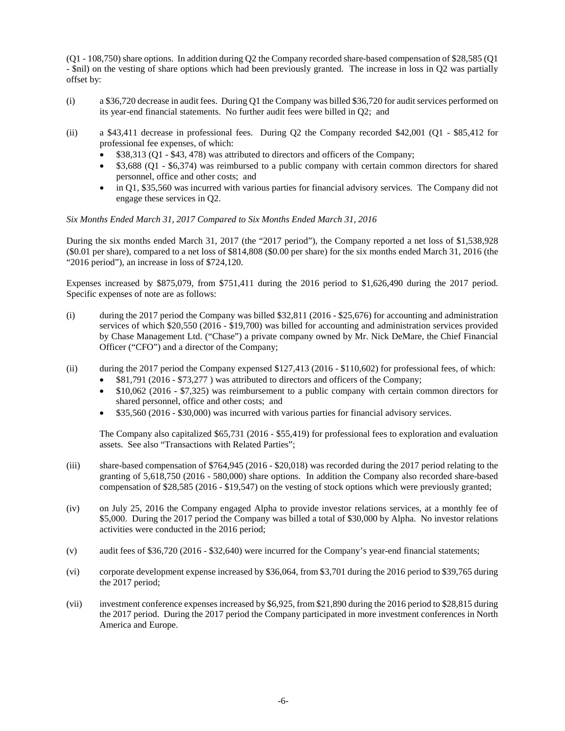(Q1 - 108,750) share options. In addition during Q2 the Company recorded share-based compensation of \$28,585 (Q1 - \$nil) on the vesting of share options which had been previously granted. The increase in loss in Q2 was partially offset by:

- (i) a \$36,720 decrease in audit fees. During Q1 the Company was billed \$36,720 for audit services performed on its year-end financial statements. No further audit fees were billed in Q2; and
- (ii) a \$43,411 decrease in professional fees. During Q2 the Company recorded \$42,001 (Q1 \$85,412 for professional fee expenses, of which:
	- \$38,313 (Q1 \$43, 478) was attributed to directors and officers of the Company;
	- \$3,688 (Q1 \$6,374) was reimbursed to a public company with certain common directors for shared personnel, office and other costs; and
	- in Q1, \$35,560 was incurred with various parties for financial advisory services. The Company did not engage these services in Q2.

#### *Six Months Ended March 31, 2017 Compared to Six Months Ended March 31, 2016*

During the six months ended March 31, 2017 (the "2017 period"), the Company reported a net loss of \$1,538,928 (\$0.01 per share), compared to a net loss of \$814,808 (\$0.00 per share) for the six months ended March 31, 2016 (the "2016 period"), an increase in loss of \$724,120.

Expenses increased by \$875,079, from \$751,411 during the 2016 period to \$1,626,490 during the 2017 period. Specific expenses of note are as follows:

- (i) during the 2017 period the Company was billed \$32,811 (2016 \$25,676) for accounting and administration services of which \$20,550 (2016 - \$19,700) was billed for accounting and administration services provided by Chase Management Ltd. ("Chase") a private company owned by Mr. Nick DeMare, the Chief Financial Officer ("CFO") and a director of the Company;
- (ii) during the 2017 period the Company expensed \$127,413 (2016 \$110,602) for professional fees, of which:
	- \$81,791 (2016 \$73,277 ) was attributed to directors and officers of the Company;
	- \$10,062 (2016 \$7,325) was reimbursement to a public company with certain common directors for shared personnel, office and other costs; and
	- \$35,560 (2016 \$30,000) was incurred with various parties for financial advisory services.

The Company also capitalized \$65,731 (2016 - \$55,419) for professional fees to exploration and evaluation assets. See also "Transactions with Related Parties";

- (iii) share-based compensation of \$764,945 (2016 \$20,018) was recorded during the 2017 period relating to the granting of 5,618,750 (2016 - 580,000) share options. In addition the Company also recorded share-based compensation of \$28,585 (2016 - \$19,547) on the vesting of stock options which were previously granted;
- (iv) on July 25, 2016 the Company engaged Alpha to provide investor relations services, at a monthly fee of \$5,000. During the 2017 period the Company was billed a total of \$30,000 by Alpha. No investor relations activities were conducted in the 2016 period;
- (v) audit fees of \$36,720 (2016 \$32,640) were incurred for the Company's year-end financial statements;
- (vi) corporate development expense increased by \$36,064, from \$3,701 during the 2016 period to \$39,765 during the 2017 period;
- (vii) investment conference expenses increased by \$6,925, from \$21,890 during the 2016 period to \$28,815 during the 2017 period. During the 2017 period the Company participated in more investment conferences in North America and Europe.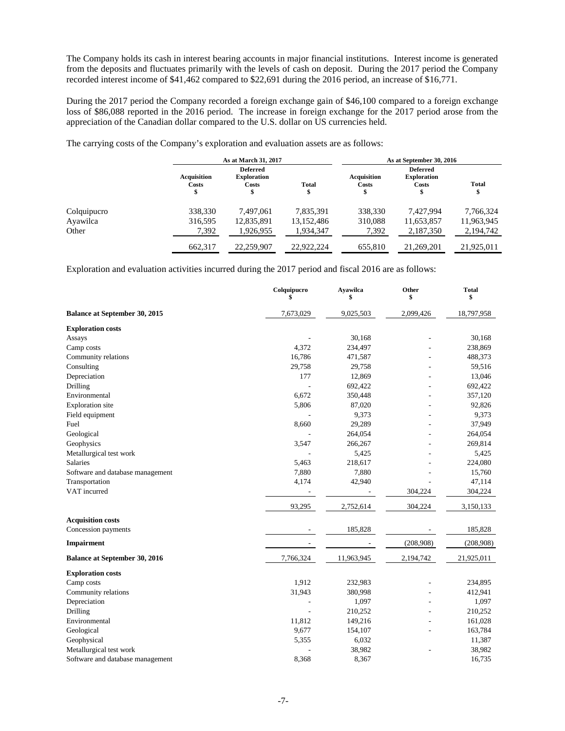The Company holds its cash in interest bearing accounts in major financial institutions. Interest income is generated from the deposits and fluctuates primarily with the levels of cash on deposit. During the 2017 period the Company recorded interest income of \$41,462 compared to \$22,691 during the 2016 period, an increase of \$16,771.

During the 2017 period the Company recorded a foreign exchange gain of \$46,100 compared to a foreign exchange loss of \$86,088 reported in the 2016 period. The increase in foreign exchange for the 2017 period arose from the appreciation of the Canadian dollar compared to the U.S. dollar on US currencies held.

|             |                             | As at March 31, 2017        |                    | As at September 30, 2016    |                             |                    |  |
|-------------|-----------------------------|-----------------------------|--------------------|-----------------------------|-----------------------------|--------------------|--|
|             |                             | <b>Deferred</b>             |                    |                             | <b>Deferred</b>             |                    |  |
|             | <b>Acquisition</b><br>Costs | <b>Exploration</b><br>Costs | <b>Total</b><br>\$ | <b>Acquisition</b><br>Costs | <b>Exploration</b><br>Costs | <b>Total</b><br>\$ |  |
| Colquipucro | 338,330                     | 7.497.061                   | 7,835,391          | 338,330                     | 7.427.994                   | 7,766,324          |  |
| Ayawilca    | 316.595                     | 12,835,891                  | 13,152,486         | 310.088                     | 11,653,857                  | 11,963,945         |  |
| Other       | 7,392                       | 1,926,955                   | 1.934.347          | 7,392                       | 2,187,350                   | 2,194,742          |  |
|             | 662.317                     | 22.259.907                  | 22.922.224         | 655.810                     | 21.269.201                  | 21.925.011         |  |

The carrying costs of the Company's exploration and evaluation assets are as follows:

Exploration and evaluation activities incurred during the 2017 period and fiscal 2016 are as follows:

|                                      | Colquipucro<br>\$ | <b>Ayawilca</b><br>\$ | Other<br>\$ | <b>Total</b><br>\$ |
|--------------------------------------|-------------------|-----------------------|-------------|--------------------|
| <b>Balance at September 30, 2015</b> | 7,673,029         | 9,025,503             | 2,099,426   | 18,797,958         |
| <b>Exploration costs</b>             |                   |                       |             |                    |
| Assays                               |                   | 30,168                |             | 30,168             |
| Camp costs                           | 4,372             | 234,497               |             | 238,869            |
| Community relations                  | 16,786            | 471,587               |             | 488,373            |
| Consulting                           | 29,758            | 29,758                | L,          | 59,516             |
| Depreciation                         | 177               | 12,869                | ÷.          | 13,046             |
| Drilling                             |                   | 692,422               |             | 692,422            |
| Environmental                        | 6,672             | 350,448               |             | 357,120            |
| <b>Exploration</b> site              | 5,806             | 87,020                |             | 92,826             |
| Field equipment                      |                   | 9,373                 | ÷           | 9,373              |
| Fuel                                 | 8,660             | 29,289                |             | 37,949             |
| Geological                           |                   | 264,054               |             | 264,054            |
| Geophysics                           | 3,547             | 266,267               |             | 269,814            |
| Metallurgical test work              |                   | 5,425                 |             | 5,425              |
| <b>Salaries</b>                      | 5,463             | 218,617               |             | 224,080            |
| Software and database management     | 7,880             | 7,880                 |             | 15,760             |
| Transportation                       | 4,174             | 42,940                |             | 47,114             |
| VAT incurred                         |                   |                       | 304,224     | 304,224            |
|                                      | 93,295            | 2,752,614             | 304,224     | 3,150,133          |
| <b>Acquisition costs</b>             |                   |                       |             |                    |
| Concession payments                  |                   | 185,828               |             | 185,828            |
| <b>Impairment</b>                    |                   |                       | (208,908)   | (208,908)          |
| <b>Balance at September 30, 2016</b> | 7,766,324         | 11,963,945            | 2,194,742   | 21,925,011         |
| <b>Exploration costs</b>             |                   |                       |             |                    |
| Camp costs                           | 1,912             | 232,983               |             | 234,895            |
| Community relations                  | 31,943            | 380,998               |             | 412,941            |
| Depreciation                         |                   | 1,097                 |             | 1,097              |
| Drilling                             |                   | 210,252               |             | 210,252            |
| Environmental                        | 11,812            | 149,216               |             | 161,028            |
| Geological                           | 9,677             | 154,107               |             | 163,784            |
| Geophysical                          | 5,355             | 6,032                 |             | 11,387             |
| Metallurgical test work              |                   | 38,982                |             | 38,982             |
| Software and database management     | 8,368             | 8,367                 |             | 16,735             |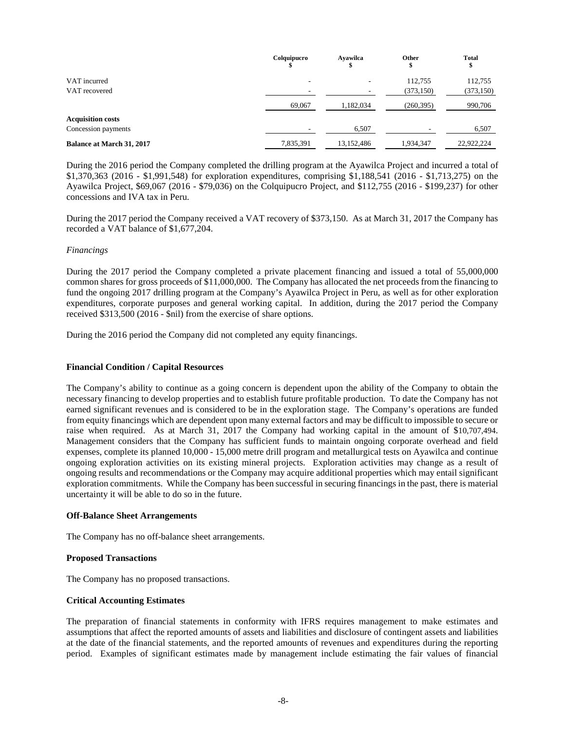|                                  | Colquipucro | Avawilca   | Other      | <b>Total</b><br>Φ |
|----------------------------------|-------------|------------|------------|-------------------|
| VAT incurred                     |             |            | 112.755    | 112,755           |
| VAT recovered                    |             |            | (373, 150) | (373, 150)        |
|                                  | 69,067      | 1,182,034  | (260, 395) | 990,706           |
| <b>Acquisition costs</b>         |             |            |            |                   |
| Concession payments              |             | 6.507      |            | 6,507             |
| <b>Balance at March 31, 2017</b> | 7,835,391   | 13,152,486 | 1,934,347  | 22,922,224        |

During the 2016 period the Company completed the drilling program at the Ayawilca Project and incurred a total of \$1,370,363 (2016 - \$1,991,548) for exploration expenditures, comprising \$1,188,541 (2016 - \$1,713,275) on the Ayawilca Project, \$69,067 (2016 - \$79,036) on the Colquipucro Project, and \$112,755 (2016 - \$199,237) for other concessions and IVA tax in Peru.

During the 2017 period the Company received a VAT recovery of \$373,150. As at March 31, 2017 the Company has recorded a VAT balance of \$1,677,204.

#### *Financings*

During the 2017 period the Company completed a private placement financing and issued a total of 55,000,000 common shares for gross proceeds of \$11,000,000. The Company has allocated the net proceeds from the financing to fund the ongoing 2017 drilling program at the Company's Ayawilca Project in Peru, as well as for other exploration expenditures, corporate purposes and general working capital. In addition, during the 2017 period the Company received \$313,500 (2016 - \$nil) from the exercise of share options.

During the 2016 period the Company did not completed any equity financings.

#### **Financial Condition / Capital Resources**

The Company's ability to continue as a going concern is dependent upon the ability of the Company to obtain the necessary financing to develop properties and to establish future profitable production. To date the Company has not earned significant revenues and is considered to be in the exploration stage. The Company's operations are funded from equity financings which are dependent upon many external factors and may be difficult to impossible to secure or raise when required. As at March 31, 2017 the Company had working capital in the amount of \$10,707,494. Management considers that the Company has sufficient funds to maintain ongoing corporate overhead and field expenses, complete its planned 10,000 - 15,000 metre drill program and metallurgical tests on Ayawilca and continue ongoing exploration activities on its existing mineral projects. Exploration activities may change as a result of ongoing results and recommendations or the Company may acquire additional properties which may entail significant exploration commitments. While the Company has been successful in securing financings in the past, there is material uncertainty it will be able to do so in the future.

#### **Off-Balance Sheet Arrangements**

The Company has no off-balance sheet arrangements.

#### **Proposed Transactions**

The Company has no proposed transactions.

#### **Critical Accounting Estimates**

The preparation of financial statements in conformity with IFRS requires management to make estimates and assumptions that affect the reported amounts of assets and liabilities and disclosure of contingent assets and liabilities at the date of the financial statements, and the reported amounts of revenues and expenditures during the reporting period. Examples of significant estimates made by management include estimating the fair values of financial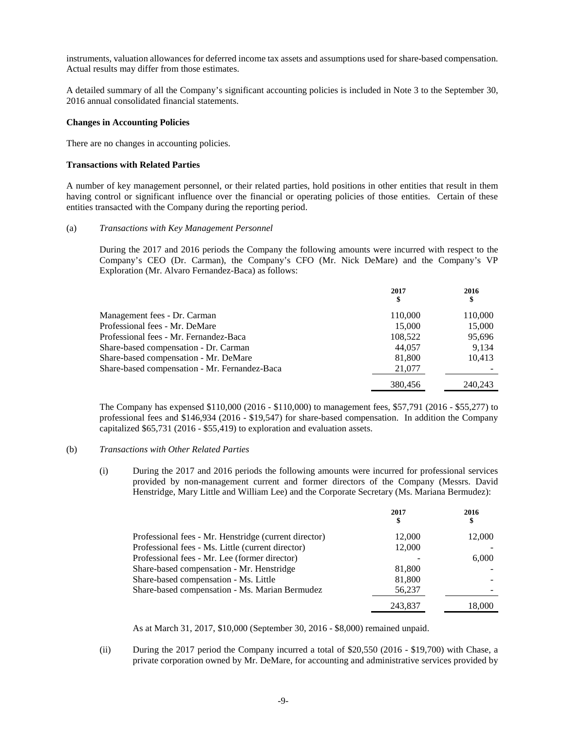instruments, valuation allowances for deferred income tax assets and assumptions used for share-based compensation. Actual results may differ from those estimates.

A detailed summary of all the Company's significant accounting policies is included in Note 3 to the September 30, 2016 annual consolidated financial statements.

## **Changes in Accounting Policies**

There are no changes in accounting policies.

#### **Transactions with Related Parties**

A number of key management personnel, or their related parties, hold positions in other entities that result in them having control or significant influence over the financial or operating policies of those entities. Certain of these entities transacted with the Company during the reporting period.

#### (a) *Transactions with Key Management Personnel*

During the 2017 and 2016 periods the Company the following amounts were incurred with respect to the Company's CEO (Dr. Carman), the Company's CFO (Mr. Nick DeMare) and the Company's VP Exploration (Mr. Alvaro Fernandez-Baca) as follows:

|                                               | 2017<br>\$ | 2016<br>\$ |
|-----------------------------------------------|------------|------------|
| Management fees - Dr. Carman                  | 110,000    | 110,000    |
| Professional fees - Mr. DeMare                | 15,000     | 15,000     |
| Professional fees - Mr. Fernandez-Baca        | 108,522    | 95,696     |
| Share-based compensation - Dr. Carman         | 44.057     | 9,134      |
| Share-based compensation - Mr. DeMare         | 81,800     | 10,413     |
| Share-based compensation - Mr. Fernandez-Baca | 21,077     |            |
|                                               | 380,456    | 240.243    |

The Company has expensed \$110,000 (2016 - \$110,000) to management fees, \$57,791 (2016 - \$55,277) to professional fees and \$146,934 (2016 - \$19,547) for share-based compensation. In addition the Company capitalized \$65,731 (2016 - \$55,419) to exploration and evaluation assets.

#### (b) *Transactions with Other Related Parties*

(i) During the 2017 and 2016 periods the following amounts were incurred for professional services provided by non-management current and former directors of the Company (Messrs. David Henstridge, Mary Little and William Lee) and the Corporate Secretary (Ms. Mariana Bermudez):

|                                                       | 2017<br>\$ | 2016<br>\$ |
|-------------------------------------------------------|------------|------------|
| Professional fees - Mr. Henstridge (current director) | 12,000     | 12,000     |
| Professional fees - Ms. Little (current director)     | 12,000     |            |
| Professional fees - Mr. Lee (former director)         |            | 6,000      |
| Share-based compensation - Mr. Henstridge             | 81,800     |            |
| Share-based compensation - Ms. Little                 | 81,800     |            |
| Share-based compensation - Ms. Marian Bermudez        | 56,237     |            |
|                                                       | 243,837    | 18,000     |

As at March 31, 2017, \$10,000 (September 30, 2016 - \$8,000) remained unpaid.

(ii) During the 2017 period the Company incurred a total of \$20,550 (2016 - \$19,700) with Chase, a private corporation owned by Mr. DeMare, for accounting and administrative services provided by